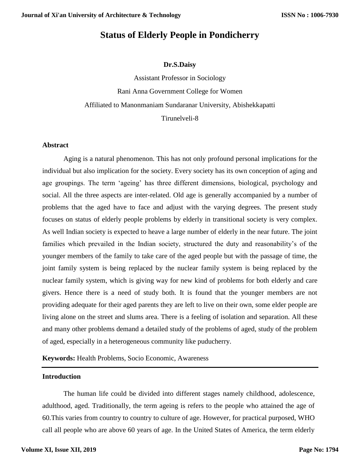# **Status of Elderly People in Pondicherry**

## **Dr.S.Daisy**

Assistant Professor in Sociology Rani Anna Government College for Women Affiliated to Manonmaniam Sundaranar University, Abishekkapatti Tirunelveli-8

#### **Abstract**

Aging is a natural phenomenon. This has not only profound personal implications for the individual but also implication for the society. Every society has its own conception of aging and age groupings. The term 'ageing' has three different dimensions, biological, psychology and social. All the three aspects are inter-related. Old age is generally accompanied by a number of problems that the aged have to face and adjust with the varying degrees. The present study focuses on status of elderly people problems by elderly in transitional society is very complex. As well Indian society is expected to heave a large number of elderly in the near future. The joint families which prevailed in the Indian society, structured the duty and reasonability's of the younger members of the family to take care of the aged people but with the passage of time, the joint family system is being replaced by the nuclear family system is being replaced by the nuclear family system, which is giving way for new kind of problems for both elderly and care givers. Hence there is a need of study both. It is found that the younger members are not providing adequate for their aged parents they are left to live on their own, some elder people are living alone on the street and slums area. There is a feeling of isolation and separation. All these and many other problems demand a detailed study of the problems of aged, study of the problem of aged, especially in a heterogeneous community like puducherry.

**Keywords:** Health Problems, Socio Economic, Awareness

## **Introduction**

The human life could be divided into different stages namely childhood, adolescence, adulthood, aged. Traditionally, the term ageing is refers to the people who attained the age of 60.This varies from country to country to culture of age. However, for practical purposed, WHO call all people who are above 60 years of age. In the United States of America, the term elderly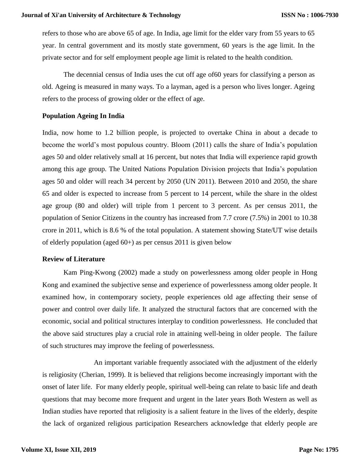refers to those who are above 65 of age. In India, age limit for the elder vary from 55 years to 65 year. In central government and its mostly state government, 60 years is the age limit. In the private sector and for self employment people age limit is related to the health condition.

The decennial census of India uses the cut off age of60 years for classifying a person as old. Ageing is measured in many ways. To a layman, aged is a person who lives longer. Ageing refers to the process of growing older or the effect of age.

## **Population Ageing In India**

India, now home to 1.2 billion people, is projected to overtake China in about a decade to become the world's most populous country. Bloom (2011) calls the share of India's population ages 50 and older relatively small at 16 percent, but notes that India will experience rapid growth among this age group. The United Nations Population Division projects that India's population ages 50 and older will reach 34 percent by 2050 (UN 2011). Between 2010 and 2050, the share 65 and older is expected to increase from 5 percent to 14 percent, while the share in the oldest age group (80 and older) will triple from 1 percent to 3 percent. As per census 2011, the population of Senior Citizens in the country has increased from 7.7 crore (7.5%) in 2001 to 10.38 crore in 2011, which is 8.6 % of the total population. A statement showing State/UT wise details of elderly population (aged 60+) as per census 2011 is given below

#### **Review of Literature**

Kam Ping-Kwong (2002) made a study on powerlessness among older people in Hong Kong and examined the subjective sense and experience of powerlessness among older people. It examined how, in contemporary society, people experiences old age affecting their sense of power and control over daily life. It analyzed the structural factors that are concerned with the economic, social and political structures interplay to condition powerlessness. He concluded that the above said structures play a crucial role in attaining well-being in older people. The failure of such structures may improve the feeling of powerlessness.

An important variable frequently associated with the adjustment of the elderly is religiosity (Cherian, 1999). It is believed that religions become increasingly important with the onset of later life. For many elderly people, spiritual well-being can relate to basic life and death questions that may become more frequent and urgent in the later years Both Western as well as Indian studies have reported that religiosity is a salient feature in the lives of the elderly, despite the lack of organized religious participation Researchers acknowledge that elderly people are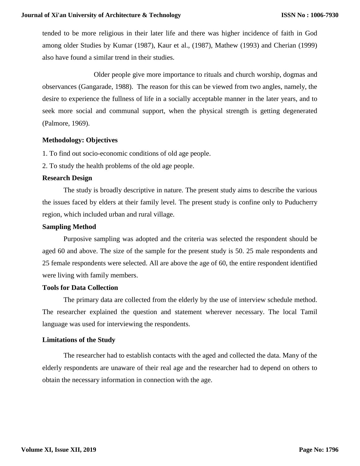tended to be more religious in their later life and there was higher incidence of faith in God among older Studies by Kumar (1987), Kaur et al., (1987), Mathew (1993) and Cherian (1999) also have found a similar trend in their studies.

Older people give more importance to rituals and church worship, dogmas and observances (Gangarade, 1988). The reason for this can be viewed from two angles, namely, the desire to experience the fullness of life in a socially acceptable manner in the later years, and to seek more social and communal support, when the physical strength is getting degenerated (Palmore, 1969).

## **Methodology: Objectives**

1. To find out socio-economic conditions of old age people.

2. To study the health problems of the old age people.

## **Research Design**

The study is broadly descriptive in nature. The present study aims to describe the various the issues faced by elders at their family level. The present study is confine only to Puducherry region, which included urban and rural village.

## **Sampling Method**

Purposive sampling was adopted and the criteria was selected the respondent should be aged 60 and above. The size of the sample for the present study is 50. 25 male respondents and 25 female respondents were selected. All are above the age of 60, the entire respondent identified were living with family members.

#### **Tools for Data Collection**

The primary data are collected from the elderly by the use of interview schedule method. The researcher explained the question and statement wherever necessary. The local Tamil language was used for interviewing the respondents.

#### **Limitations of the Study**

The researcher had to establish contacts with the aged and collected the data. Many of the elderly respondents are unaware of their real age and the researcher had to depend on others to obtain the necessary information in connection with the age.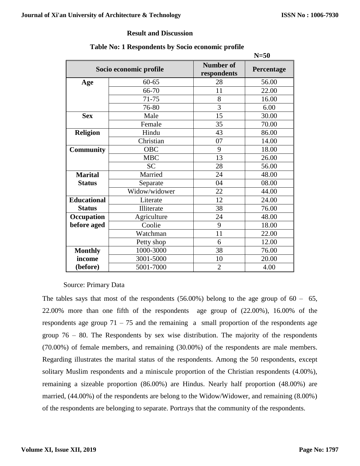## **Result and Discussion**

|                    |                        |                                 | $N=50$     |
|--------------------|------------------------|---------------------------------|------------|
|                    | Socio economic profile | <b>Number of</b><br>respondents | Percentage |
| Age                | $60 - 65$              | 28                              | 56.00      |
|                    | 66-70                  | 11                              | 22.00      |
|                    | 71-75                  | 8                               | 16.00      |
|                    | 76-80                  | 3                               | 6.00       |
| <b>Sex</b>         | Male                   | 15                              | 30.00      |
|                    | Female                 | 35                              | 70.00      |
| <b>Religion</b>    | Hindu                  | 43                              | 86.00      |
|                    | Christian              | 07                              | 14.00      |
| <b>Community</b>   | <b>OBC</b>             | 9                               | 18.00      |
|                    | <b>MBC</b>             | 13                              | 26.00      |
|                    | <b>SC</b>              | 28                              | 56.00      |
| <b>Marital</b>     | Married                | 24                              | 48.00      |
| <b>Status</b>      | Separate               | 04                              | 08.00      |
|                    | Widow/widower          | 22                              | 44.00      |
| <b>Educational</b> | Literate               | 12                              | 24.00      |
| <b>Status</b>      | Illiterate             | 38                              | 76.00      |
| Occupation         | Agriculture            | 24                              | 48.00      |
| before aged        | Coolie                 | 9                               | 18.00      |
|                    | Watchman               | 11                              | 22.00      |
|                    | Petty shop             | 6                               | 12.00      |
| <b>Monthly</b>     | 1000-3000              | 38                              | 76.00      |
| income             | 3001-5000              | 10                              | 20.00      |
| (before)           | 5001-7000              | $\overline{2}$                  | 4.00       |

## **Table No: 1 Respondents by Socio economic profile**

## Source: Primary Data

The tables says that most of the respondents  $(56.00\%)$  belong to the age group of  $60 - 65$ , 22.00% more than one fifth of the respondents age group of (22.00%), 16.00% of the respondents age group  $71 - 75$  and the remaining a small proportion of the respondents age group 76 – 80. The Respondents by sex wise distribution. The majority of the respondents (70.00%) of female members, and remaining (30.00%) of the respondents are male members. Regarding illustrates the marital status of the respondents. Among the 50 respondents, except solitary Muslim respondents and a miniscule proportion of the Christian respondents (4.00%), remaining a sizeable proportion (86.00%) are Hindus. Nearly half proportion (48.00%) are married, (44.00%) of the respondents are belong to the Widow/Widower, and remaining (8.00%) of the respondents are belonging to separate. Portrays that the community of the respondents.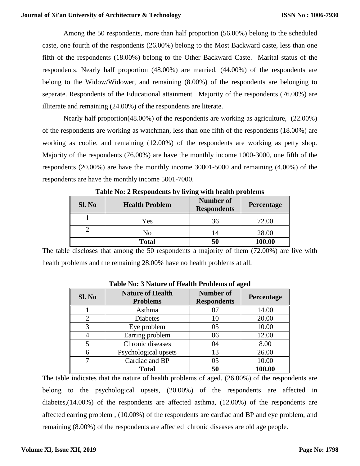Among the 50 respondents, more than half proportion (56.00%) belong to the scheduled caste, one fourth of the respondents (26.00%) belong to the Most Backward caste, less than one fifth of the respondents (18.00%) belong to the Other Backward Caste. Marital status of the respondents. Nearly half proportion (48.00%) are married, (44.00%) of the respondents are belong to the Widow/Widower, and remaining (8.00%) of the respondents are belonging to separate. Respondents of the Educational attainment. Majority of the respondents (76.00%) are illiterate and remaining (24.00%) of the respondents are literate.

Nearly half proportion(48.00%) of the respondents are working as agriculture, (22.00%) of the respondents are working as watchman, less than one fifth of the respondents (18.00%) are working as coolie, and remaining (12.00%) of the respondents are working as petty shop. Majority of the respondents (76.00%) are have the monthly income 1000-3000, one fifth of the respondents (20.00%) are have the monthly income 30001-5000 and remaining (4.00%) of the respondents are have the monthly income 5001-7000.

| Sl. No | <b>Health Problem</b> | <b>Number of</b><br><b>Respondents</b> | <b>Percentage</b> |
|--------|-----------------------|----------------------------------------|-------------------|
|        | Yes                   | 36                                     | 72.00             |
|        | No                    | 14                                     | 28.00             |
|        | <b>Total</b>          |                                        | 100.00            |

**Table No: 2 Respondents by living with health problems**

The table discloses that among the 50 respondents a majority of them (72.00%) are live with health problems and the remaining 28.00% have no health problems at all.

| Sl. No         | <b>Nature of Health</b><br><b>Problems</b> | <b>Number of</b><br><b>Respondents</b> | o<br>Percentage |
|----------------|--------------------------------------------|----------------------------------------|-----------------|
|                | Asthma                                     |                                        | 14.00           |
| $\overline{2}$ | <b>Diabetes</b>                            | 10                                     | 20.00           |
| 3              | Eye problem                                | 05                                     | 10.00           |
|                | Earring problem                            | 06                                     | 12.00           |
|                | Chronic diseases                           | 04                                     | 8.00            |
|                | Psychological upsets                       | 13                                     | 26.00           |
|                | Cardiac and BP                             | 05                                     | 10.00           |
|                | <b>Total</b>                               | 50                                     | 100.00          |

#### **Table No: 3 Nature of Health Problems of aged**

The table indicates that the nature of health problems of aged. (26.00%) of the respondents are belong to the psychological upsets, (20.00%) of the respondents are affected in diabetes,(14.00%) of the respondents are affected asthma, (12.00%) of the respondents are affected earring problem , (10.00%) of the respondents are cardiac and BP and eye problem, and remaining (8.00%) of the respondents are affected chronic diseases are old age people.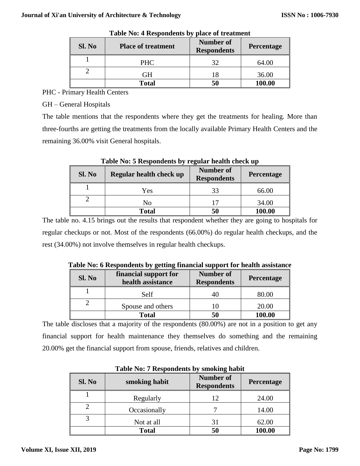| Sl. No | <b>Place of treatment</b> | Number of<br><b>Respondents</b> | Percentage |
|--------|---------------------------|---------------------------------|------------|
|        | <b>PHC</b>                | 32                              | 64.00      |
|        | GН                        | 18                              | 36.00      |
|        | <b>Total</b>              | 50                              | 100.00     |

**Table No: 4 Respondents by place of treatment**

PHC - Primary Health Centers

GH – General Hospitals

The table mentions that the respondents where they get the treatments for healing. More than three-fourths are getting the treatments from the locally available Primary Health Centers and the remaining 36.00% visit General hospitals.

| Sl. No | Regular health check up | <b>Number of</b><br><b>Respondents</b> | Percentage |
|--------|-------------------------|----------------------------------------|------------|
|        | Yes                     | 33                                     | 66.00      |
|        | No                      | 17                                     | 34.00      |
|        | <b>Total</b>            | 50                                     | 100.00     |

**Table No: 5 Respondents by regular health check up** 

The table no. 4.15 brings out the results that respondent whether they are going to hospitals for regular checkups or not. Most of the respondents (66.00%) do regular health checkups, and the rest (34.00%) not involve themselves in regular health checkups.

| Sl. No | financial support for<br>health assistance | <b>Number of</b><br><b>Respondents</b> | Percentage |
|--------|--------------------------------------------|----------------------------------------|------------|
|        | Self                                       |                                        | 80.00      |
|        | Spouse and others                          |                                        | 20.00      |
|        | <b>Total</b>                               | 50                                     | 100.00     |

**Table No: 6 Respondents by getting financial support for health assistance** 

The table discloses that a majority of the respondents (80.00%) are not in a position to get any financial support for health maintenance they themselves do something and the remaining 20.00% get the financial support from spouse, friends, relatives and children.

| Twore Tion I Respondence by Shroming Hubit |               |                                 |            |
|--------------------------------------------|---------------|---------------------------------|------------|
| Sl. No                                     | smoking habit | Number of<br><b>Respondents</b> | Percentage |
|                                            | Regularly     | 12                              | 24.00      |
|                                            | Occasionally  |                                 | 14.00      |
|                                            | Not at all    | 31                              | 62.00      |
|                                            | <b>Total</b>  | 50                              | 100.00     |

**Table No: 7 Respondents by smoking habit**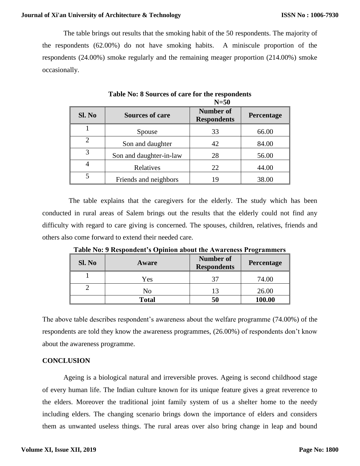#### **Journal of Xi'an University of Architecture & Technology**

The table brings out results that the smoking habit of the 50 respondents. The majority of the respondents (62.00%) do not have smoking habits. A miniscule proportion of the respondents (24.00%) smoke regularly and the remaining meager proportion (214.00%) smoke occasionally.

|                |                         | $N=50$                                 |            |
|----------------|-------------------------|----------------------------------------|------------|
| Sl. No         | <b>Sources of care</b>  | <b>Number of</b><br><b>Respondents</b> | Percentage |
|                | Spouse                  | 33                                     | 66.00      |
| $\overline{2}$ | Son and daughter        | 42                                     | 84.00      |
| 3              | Son and daughter-in-law | 28                                     | 56.00      |
| 4              | Relatives               | 22                                     | 44.00      |
| 5              | Friends and neighbors   | 19                                     | 38.00      |

**Table No: 8 Sources of care for the respondents** 

 The table explains that the caregivers for the elderly. The study which has been conducted in rural areas of Salem brings out the results that the elderly could not find any difficulty with regard to care giving is concerned. The spouses, children, relatives, friends and others also come forward to extend their needed care.

| Sl. No | Tuble 1101 2 Trespondent s Ophilon asout the Traditios I To Tammings<br>Aware | <b>Number of</b><br><b>Respondents</b> | Percentage |
|--------|-------------------------------------------------------------------------------|----------------------------------------|------------|
|        | Yes                                                                           |                                        | 74.00      |
|        | No                                                                            |                                        | 26.00      |
|        | <b>Total</b>                                                                  | 50                                     | 100.00     |

**Table No: 9 Respondent's Opinion about the Awareness Programmers**

The above table describes respondent's awareness about the welfare programme (74.00%) of the respondents are told they know the awareness programmes, (26.00%) of respondents don't know about the awareness programme.

#### **CONCLUSION**

Ageing is a biological natural and irreversible proves. Ageing is second childhood stage of every human life. The Indian culture known for its unique feature gives a great reverence to the elders. Moreover the traditional joint family system of us a shelter home to the needy including elders. The changing scenario brings down the importance of elders and considers them as unwanted useless things. The rural areas over also bring change in leap and bound